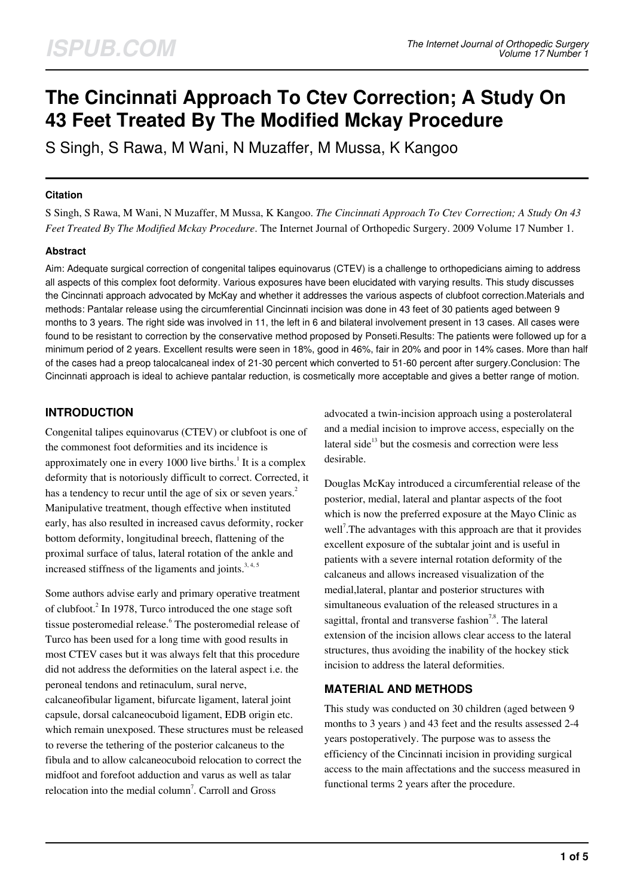# **The Cincinnati Approach To Ctev Correction; A Study On 43 Feet Treated By The Modified Mckay Procedure**

S Singh, S Rawa, M Wani, N Muzaffer, M Mussa, K Kangoo

#### **Citation**

S Singh, S Rawa, M Wani, N Muzaffer, M Mussa, K Kangoo. *The Cincinnati Approach To Ctev Correction; A Study On 43 Feet Treated By The Modified Mckay Procedure*. The Internet Journal of Orthopedic Surgery. 2009 Volume 17 Number 1.

#### **Abstract**

Aim: Adequate surgical correction of congenital talipes equinovarus (CTEV) is a challenge to orthopedicians aiming to address all aspects of this complex foot deformity. Various exposures have been elucidated with varying results. This study discusses the Cincinnati approach advocated by McKay and whether it addresses the various aspects of clubfoot correction.Materials and methods: Pantalar release using the circumferential Cincinnati incision was done in 43 feet of 30 patients aged between 9 months to 3 years. The right side was involved in 11, the left in 6 and bilateral involvement present in 13 cases. All cases were found to be resistant to correction by the conservative method proposed by Ponseti.Results: The patients were followed up for a minimum period of 2 years. Excellent results were seen in 18%, good in 46%, fair in 20% and poor in 14% cases. More than half of the cases had a preop talocalcaneal index of 21-30 percent which converted to 51-60 percent after surgery.Conclusion: The Cincinnati approach is ideal to achieve pantalar reduction, is cosmetically more acceptable and gives a better range of motion.

## **INTRODUCTION**

Congenital talipes equinovarus (CTEV) or clubfoot is one of the commonest foot deformities and its incidence is approximately one in every 1000 live births. $<sup>1</sup>$  It is a complex</sup> deformity that is notoriously difficult to correct. Corrected, it has a tendency to recur until the age of six or seven years.<sup>2</sup> Manipulative treatment, though effective when instituted early, has also resulted in increased cavus deformity, rocker bottom deformity, longitudinal breech, flattening of the proximal surface of talus, lateral rotation of the ankle and increased stiffness of the ligaments and joints.<sup>3,4,5</sup>

Some authors advise early and primary operative treatment of clubfoot.<sup>2</sup> In 1978, Turco introduced the one stage soft tissue posteromedial release. <sup>6</sup> The posteromedial release of Turco has been used for a long time with good results in most CTEV cases but it was always felt that this procedure did not address the deformities on the lateral aspect i.e. the peroneal tendons and retinaculum, sural nerve, calcaneofibular ligament, bifurcate ligament, lateral joint capsule, dorsal calcaneocuboid ligament, EDB origin etc. which remain unexposed. These structures must be released to reverse the tethering of the posterior calcaneus to the fibula and to allow calcaneocuboid relocation to correct the midfoot and forefoot adduction and varus as well as talar relocation into the medial column<sup>7</sup>. Carroll and Gross

advocated a twin-incision approach using a posterolateral and a medial incision to improve access, especially on the lateral side $13$  but the cosmesis and correction were less desirable.

Douglas McKay introduced a circumferential release of the posterior, medial, lateral and plantar aspects of the foot which is now the preferred exposure at the Mayo Clinic as well<sup>7</sup>. The advantages with this approach are that it provides excellent exposure of the subtalar joint and is useful in patients with a severe internal rotation deformity of the calcaneus and allows increased visualization of the medial,lateral, plantar and posterior structures with simultaneous evaluation of the released structures in a sagittal, frontal and transverse fashion<sup>7,8</sup>. The lateral extension of the incision allows clear access to the lateral structures, thus avoiding the inability of the hockey stick incision to address the lateral deformities.

#### **MATERIAL AND METHODS**

This study was conducted on 30 children (aged between 9 months to 3 years ) and 43 feet and the results assessed 2-4 years postoperatively. The purpose was to assess the efficiency of the Cincinnati incision in providing surgical access to the main affectations and the success measured in functional terms 2 years after the procedure.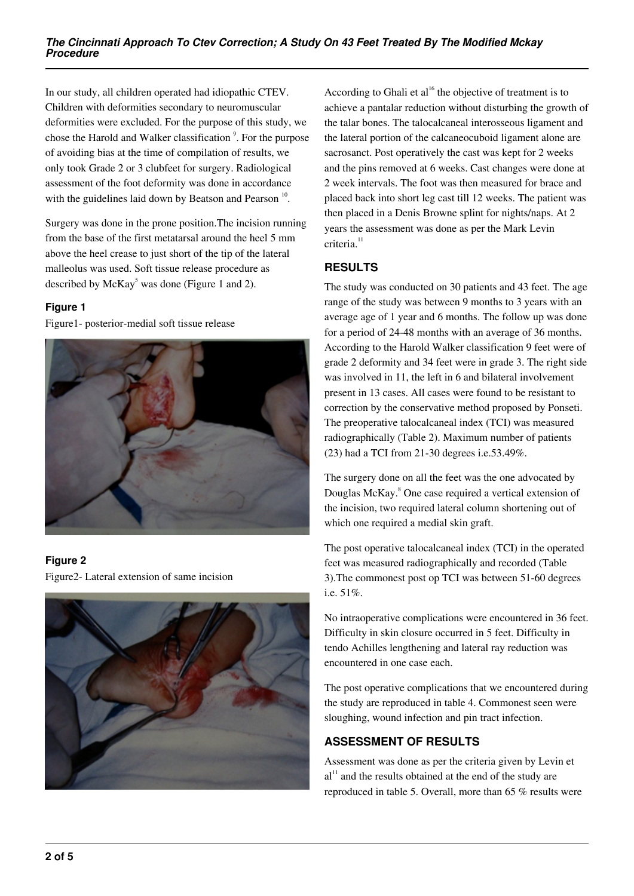In our study, all children operated had idiopathic CTEV. Children with deformities secondary to neuromuscular deformities were excluded. For the purpose of this study, we chose the Harold and Walker classification <sup>9</sup>. For the purpose of avoiding bias at the time of compilation of results, we only took Grade 2 or 3 clubfeet for surgery. Radiological assessment of the foot deformity was done in accordance with the guidelines laid down by Beatson and Pearson  $10$ .

Surgery was done in the prone position.The incision running from the base of the first metatarsal around the heel 5 mm above the heel crease to just short of the tip of the lateral malleolus was used. Soft tissue release procedure as described by  $McKay^5$  was done (Figure 1 and 2).

### **Figure 1**

Figure1- posterior-medial soft tissue release



## **Figure 2**

Figure2- Lateral extension of same incision



According to Ghali et  $al^{16}$  the objective of treatment is to achieve a pantalar reduction without disturbing the growth of the talar bones. The talocalcaneal interosseous ligament and the lateral portion of the calcaneocuboid ligament alone are sacrosanct. Post operatively the cast was kept for 2 weeks and the pins removed at 6 weeks. Cast changes were done at 2 week intervals. The foot was then measured for brace and placed back into short leg cast till 12 weeks. The patient was then placed in a Denis Browne splint for nights/naps. At 2 years the assessment was done as per the Mark Levin criteria.<sup>11</sup>

## **RESULTS**

The study was conducted on 30 patients and 43 feet. The age range of the study was between 9 months to 3 years with an average age of 1 year and 6 months. The follow up was done for a period of 24-48 months with an average of 36 months. According to the Harold Walker classification 9 feet were of grade 2 deformity and 34 feet were in grade 3. The right side was involved in 11, the left in 6 and bilateral involvement present in 13 cases. All cases were found to be resistant to correction by the conservative method proposed by Ponseti. The preoperative talocalcaneal index (TCI) was measured radiographically (Table 2). Maximum number of patients (23) had a TCI from 21-30 degrees i.e.53.49%.

The surgery done on all the feet was the one advocated by Douglas McKay.<sup>8</sup> One case required a vertical extension of the incision, two required lateral column shortening out of which one required a medial skin graft.

The post operative talocalcaneal index (TCI) in the operated feet was measured radiographically and recorded (Table 3).The commonest post op TCI was between 51-60 degrees i.e. 51%.

No intraoperative complications were encountered in 36 feet. Difficulty in skin closure occurred in 5 feet. Difficulty in tendo Achilles lengthening and lateral ray reduction was encountered in one case each.

The post operative complications that we encountered during the study are reproduced in table 4. Commonest seen were sloughing, wound infection and pin tract infection.

## **ASSESSMENT OF RESULTS**

Assessment was done as per the criteria given by Levin et  $al<sup>11</sup>$  and the results obtained at the end of the study are reproduced in table 5. Overall, more than 65 % results were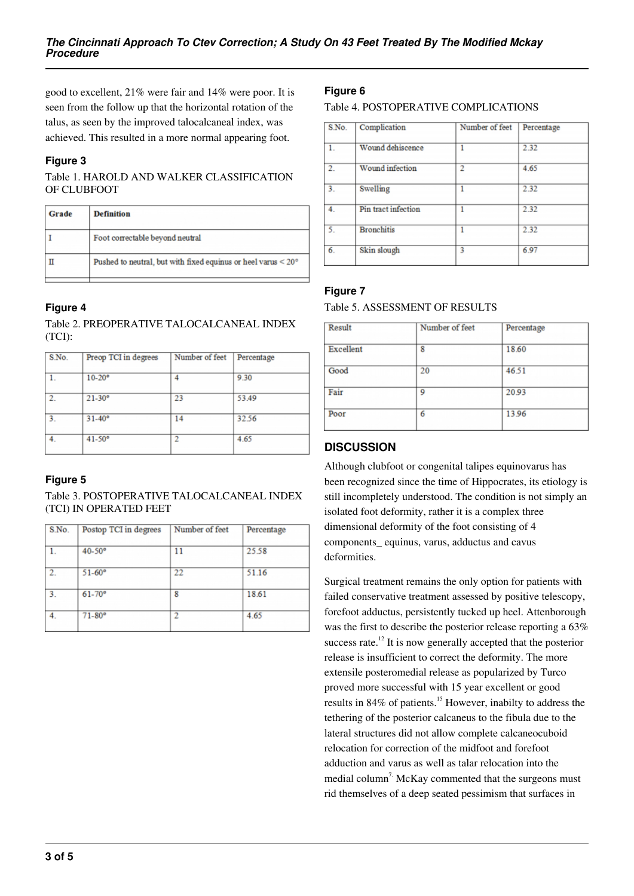good to excellent, 21% were fair and 14% were poor. It is seen from the follow up that the horizontal rotation of the talus, as seen by the improved talocalcaneal index, was achieved. This resulted in a more normal appearing foot.

#### **Figure 3**

Table 1. HAROLD AND WALKER CLASSIFICATION OF CLUBFOOT

| Grade | <b>Definition</b>                                                         |  |
|-------|---------------------------------------------------------------------------|--|
|       | Foot correctable beyond neutral                                           |  |
|       | Pushed to neutral, but with fixed equinus or heel varus $<$ 20 $^{\circ}$ |  |

#### **Figure 4**

Table 2. PREOPERATIVE TALOCALCANEAL INDEX (TCI):

| 9.30<br>53.49<br>32.56<br>4.65 |
|--------------------------------|

#### **Figure 5**

Table 3. POSTOPERATIVE TALOCALCANEAL INDEX (TCI) IN OPERATED FEET

| S.No.          | Postop TCI in degrees | Number of feet | Percentage |
|----------------|-----------------------|----------------|------------|
|                | $40-50$ °             | 11             | 25.58      |
| $\overline{2}$ | $51 - 60^{\circ}$     | 22             | 51.16      |
| 3.             | $61 - 70$ °           | 8              | 18.61      |
| 4.             | $71 - 80^{\circ}$     | 2              | 4.65       |
|                |                       |                |            |

### **Figure 6**

Table 4. POSTOPERATIVE COMPLICATIONS

| S.No.            | Complication        | Number of feet | Percentage |
|------------------|---------------------|----------------|------------|
| 1.               | Wound dehiscence    | 1              | 2.32       |
| $\overline{2}$ . | Wound infection     | $\overline{c}$ | 4.65       |
| $\overline{3}$ . | Swelling            |                | 2.32       |
| $4_{-}$          | Pin tract infection |                | 2.32       |
| 5.               | <b>Bronchitis</b>   |                | 2.32       |
| 6.               | Skin slough         | 3              | 6.97       |

#### **Figure 7**

#### Table 5. ASSESSMENT OF RESULTS

| Number of feet | Percentage |
|----------------|------------|
| 8              | 18.60      |
| 20             | 46.51      |
| 9              | 20.93      |
| 6              | 13.96      |
|                |            |

#### **DISCUSSION**

Although clubfoot or congenital talipes equinovarus has been recognized since the time of Hippocrates, its etiology is still incompletely understood. The condition is not simply an isolated foot deformity, rather it is a complex three dimensional deformity of the foot consisting of 4 components\_ equinus, varus, adductus and cavus deformities.

Surgical treatment remains the only option for patients with failed conservative treatment assessed by positive telescopy, forefoot adductus, persistently tucked up heel. Attenborough was the first to describe the posterior release reporting a 63% success rate.<sup>12</sup> It is now generally accepted that the posterior release is insufficient to correct the deformity. The more extensile posteromedial release as popularized by Turco proved more successful with 15 year excellent or good results in 84% of patients.<sup>15</sup> However, inabilty to address the tethering of the posterior calcaneus to the fibula due to the lateral structures did not allow complete calcaneocuboid relocation for correction of the midfoot and forefoot adduction and varus as well as talar relocation into the medial column<sup>7</sup>. McKay commented that the surgeons must rid themselves of a deep seated pessimism that surfaces in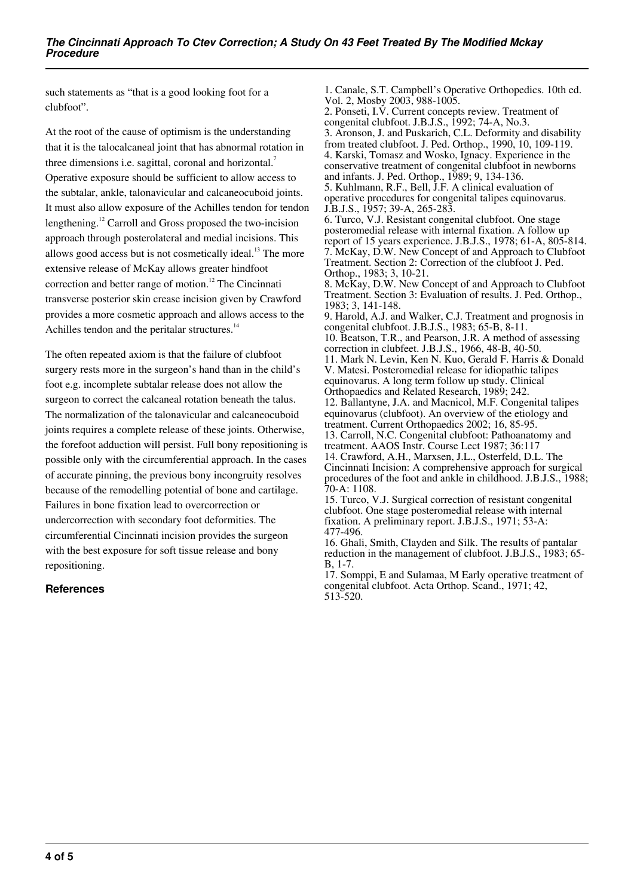such statements as "that is a good looking foot for a clubfoot".

At the root of the cause of optimism is the understanding that it is the talocalcaneal joint that has abnormal rotation in three dimensions i.e. sagittal, coronal and horizontal.<sup>7</sup> Operative exposure should be sufficient to allow access to the subtalar, ankle, talonavicular and calcaneocuboid joints. It must also allow exposure of the Achilles tendon for tendon lengthening.<sup>12</sup> Carroll and Gross proposed the two-incision approach through posterolateral and medial incisions. This allows good access but is not cosmetically ideal.<sup>13</sup> The more extensive release of McKay allows greater hindfoot correction and better range of motion.<sup>12</sup> The Cincinnati transverse posterior skin crease incision given by Crawford provides a more cosmetic approach and allows access to the Achilles tendon and the peritalar structures.<sup>14</sup>

The often repeated axiom is that the failure of clubfoot surgery rests more in the surgeon's hand than in the child's foot e.g. incomplete subtalar release does not allow the surgeon to correct the calcaneal rotation beneath the talus. The normalization of the talonavicular and calcaneocuboid joints requires a complete release of these joints. Otherwise, the forefoot adduction will persist. Full bony repositioning is possible only with the circumferential approach. In the cases of accurate pinning, the previous bony incongruity resolves because of the remodelling potential of bone and cartilage. Failures in bone fixation lead to overcorrection or undercorrection with secondary foot deformities. The circumferential Cincinnati incision provides the surgeon with the best exposure for soft tissue release and bony repositioning.

#### **References**

1. Canale, S.T. Campbell's Operative Orthopedics. 10th ed. Vol. 2, Mosby 2003, 988-1005. 2. Ponseti, I.V. Current concepts review. Treatment of congenital clubfoot. J.B.J.S., 1992; 74-A, No.3. 3. Aronson, J. and Puskarich, C.L. Deformity and disability from treated clubfoot. J. Ped. Orthop., 1990, 10, 109-119. 4. Karski, Tomasz and Wosko, Ignacy. Experience in the conservative treatment of congenital clubfoot in newborns and infants. J. Ped. Orthop., 1989; 9, 134-136. 5. Kuhlmann, R.F., Bell, J.F. A clinical evaluation of operative procedures for congenital talipes equinovarus. J.B.J.S., 1957; 39-A, 265-283. 6. Turco, V.J. Resistant congenital clubfoot. One stage posteromedial release with internal fixation. A follow up report of 15 years experience. J.B.J.S., 1978; 61-A, 805-814. 7. McKay, D.W. New Concept of and Approach to Clubfoot Treatment. Section 2: Correction of the clubfoot J. Ped. Orthop., 1983; 3, 10-21. 8. McKay, D.W. New Concept of and Approach to Clubfoot Treatment. Section 3: Evaluation of results. J. Ped. Orthop., 1983; 3, 141-148. 9. Harold, A.J. and Walker, C.J. Treatment and prognosis in congenital clubfoot. J.B.J.S., 1983; 65-B, 8-11. 10. Beatson, T.R., and Pearson, J.R. A method of assessing correction in clubfeet. J.B.J.S., 1966, 48-B, 40-50. 11. Mark N. Levin, Ken N. Kuo, Gerald F. Harris & Donald V. Matesi. Posteromedial release for idiopathic talipes equinovarus. A long term follow up study. Clinical Orthopaedics and Related Research, 1989; 242. 12. Ballantyne, J.A. and Macnicol, M.F. Congenital talipes equinovarus (clubfoot). An overview of the etiology and treatment. Current Orthopaedics 2002; 16, 85-95. 13. Carroll, N.C. Congenital clubfoot: Pathoanatomy and treatment. AAOS Instr. Course Lect 1987; 36:117 14. Crawford, A.H., Marxsen, J.L., Osterfeld, D.L. The Cincinnati Incision: A comprehensive approach for surgical procedures of the foot and ankle in childhood. J.B.J.S., 1988; 70-A: 1108. 15. Turco, V.J. Surgical correction of resistant congenital clubfoot. One stage posteromedial release with internal fixation. A preliminary report. J.B.J.S., 1971; 53-A: 477-496.

16. Ghali, Smith, Clayden and Silk. The results of pantalar reduction in the management of clubfoot. J.B.J.S., 1983; 65- B, 1-7.

17. Somppi, E and Sulamaa, M Early operative treatment of congenital clubfoot. Acta Orthop. Scand., 1971; 42, 513-520.